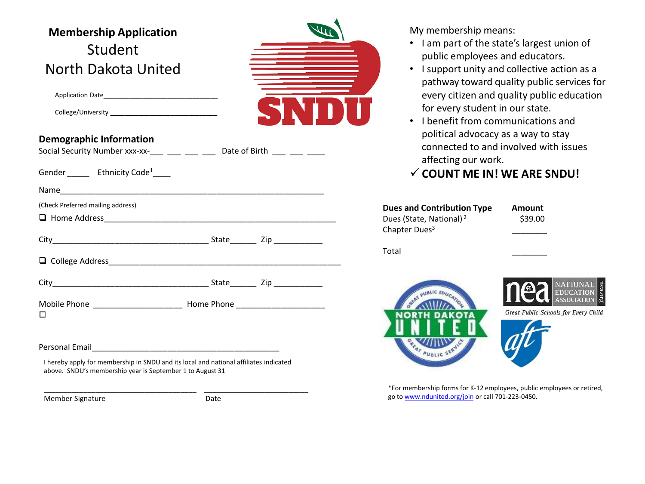| <b>Membership Application</b>                                                                                                                      |      |                    |
|----------------------------------------------------------------------------------------------------------------------------------------------------|------|--------------------|
| Student                                                                                                                                            |      |                    |
| North Dakota United                                                                                                                                |      |                    |
|                                                                                                                                                    |      |                    |
|                                                                                                                                                    |      |                    |
| <b>Demographic Information</b><br>Social Security Number xxx-xx-___ ___ ___ ___ Date of Birth ___ ___ ___                                          |      |                    |
| Gender ________ Ethnicity Code <sup>1</sup> _____                                                                                                  |      |                    |
|                                                                                                                                                    |      |                    |
| (Check Preferred mailing address)                                                                                                                  |      | Dues ar            |
|                                                                                                                                                    |      | Dues (St           |
|                                                                                                                                                    |      | Chapter            |
|                                                                                                                                                    |      | Total              |
|                                                                                                                                                    |      |                    |
| □                                                                                                                                                  |      |                    |
|                                                                                                                                                    |      |                    |
|                                                                                                                                                    |      |                    |
| I hereby apply for membership in SNDU and its local and national affiliates indicated<br>above. SNDU's membership year is September 1 to August 31 |      |                    |
| Member Signature                                                                                                                                   | Date | *For me<br>go to w |

My membership means:

- I am part of the state's largest union of public employees and educators.
- I support unity and collective action as a pathway toward quality public services for every citizen and quality public education for every student in our state.
- I benefit from communications and political advocacy as a way to stay connected to and involved with issues affecting our work.

## **COUNT ME IN! WE ARE SNDU!**

| <b>Dues and Contribution Type</b><br>Dues (State, National) <sup>2</sup><br>Chapter Dues <sup>3</sup> | <b>Amount</b><br>\$39.00 |
|-------------------------------------------------------------------------------------------------------|--------------------------|
| Total                                                                                                 |                          |





Great Public Schools for Every Child



embership forms for K-12 employees, public employees or retired, ww.ndunited.org/join or call 701-223-0450.